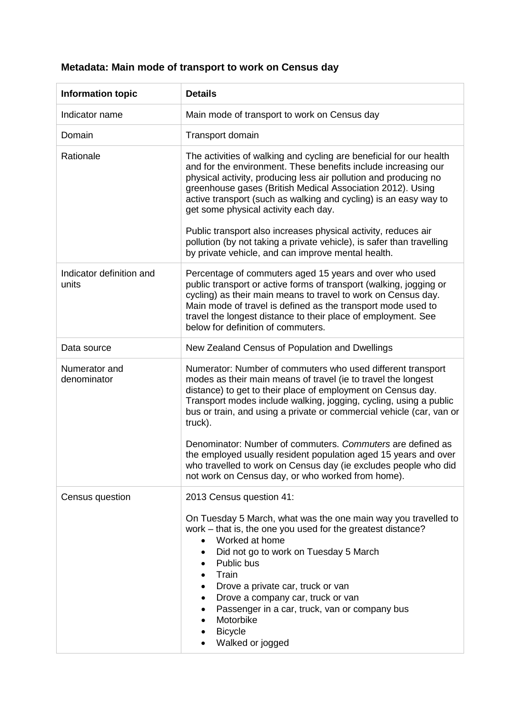## **Metadata: Main mode of transport to work on Census day**

| <b>Information topic</b>          | <b>Details</b>                                                                                                                                                                                                                                                                                                                                                                                                                                                                                                                 |  |  |  |  |
|-----------------------------------|--------------------------------------------------------------------------------------------------------------------------------------------------------------------------------------------------------------------------------------------------------------------------------------------------------------------------------------------------------------------------------------------------------------------------------------------------------------------------------------------------------------------------------|--|--|--|--|
| Indicator name                    | Main mode of transport to work on Census day                                                                                                                                                                                                                                                                                                                                                                                                                                                                                   |  |  |  |  |
| Domain                            | Transport domain                                                                                                                                                                                                                                                                                                                                                                                                                                                                                                               |  |  |  |  |
| Rationale                         | The activities of walking and cycling are beneficial for our health<br>and for the environment. These benefits include increasing our<br>physical activity, producing less air pollution and producing no<br>greenhouse gases (British Medical Association 2012). Using<br>active transport (such as walking and cycling) is an easy way to<br>get some physical activity each day.<br>Public transport also increases physical activity, reduces air<br>pollution (by not taking a private vehicle), is safer than travelling |  |  |  |  |
|                                   | by private vehicle, and can improve mental health.                                                                                                                                                                                                                                                                                                                                                                                                                                                                             |  |  |  |  |
| Indicator definition and<br>units | Percentage of commuters aged 15 years and over who used<br>public transport or active forms of transport (walking, jogging or<br>cycling) as their main means to travel to work on Census day.<br>Main mode of travel is defined as the transport mode used to<br>travel the longest distance to their place of employment. See<br>below for definition of commuters.                                                                                                                                                          |  |  |  |  |
| Data source                       | New Zealand Census of Population and Dwellings                                                                                                                                                                                                                                                                                                                                                                                                                                                                                 |  |  |  |  |
| Numerator and<br>denominator      | Numerator: Number of commuters who used different transport<br>modes as their main means of travel (ie to travel the longest<br>distance) to get to their place of employment on Census day.<br>Transport modes include walking, jogging, cycling, using a public<br>bus or train, and using a private or commercial vehicle (car, van or<br>truck).                                                                                                                                                                           |  |  |  |  |
|                                   | Denominator: Number of commuters. Commuters are defined as<br>the employed usually resident population aged 15 years and over<br>who travelled to work on Census day (ie excludes people who did<br>not work on Census day, or who worked from home).                                                                                                                                                                                                                                                                          |  |  |  |  |
| Census question                   | 2013 Census question 41:                                                                                                                                                                                                                                                                                                                                                                                                                                                                                                       |  |  |  |  |
|                                   | On Tuesday 5 March, what was the one main way you travelled to<br>work – that is, the one you used for the greatest distance?<br>Worked at home<br>Did not go to work on Tuesday 5 March<br>Public bus<br>$\bullet$<br>Train<br>$\bullet$<br>Drove a private car, truck or van<br>$\bullet$<br>Drove a company car, truck or van<br>٠<br>Passenger in a car, truck, van or company bus<br>٠<br>Motorbike<br>$\bullet$<br><b>Bicycle</b><br>Walked or jogged                                                                    |  |  |  |  |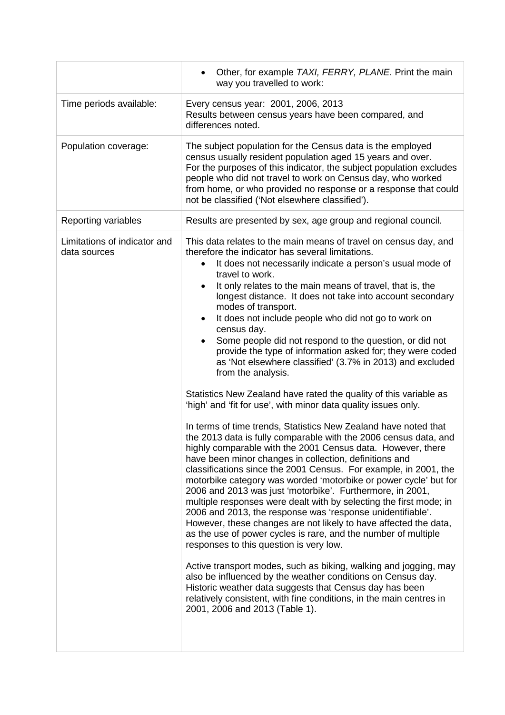|                                              | Other, for example TAXI, FERRY, PLANE. Print the main<br>way you travelled to work:                                                                                                                                                                                                                                                                                                                                                                                                                                                                                                                                                                                                                                                                                                                                                                                                                                                                                                                                                                                                                                                                                                                                                                                                                                                                                                                                                                                                                                                                                                                                                                                                                                                                                                                                                                                                                        |  |  |  |  |
|----------------------------------------------|------------------------------------------------------------------------------------------------------------------------------------------------------------------------------------------------------------------------------------------------------------------------------------------------------------------------------------------------------------------------------------------------------------------------------------------------------------------------------------------------------------------------------------------------------------------------------------------------------------------------------------------------------------------------------------------------------------------------------------------------------------------------------------------------------------------------------------------------------------------------------------------------------------------------------------------------------------------------------------------------------------------------------------------------------------------------------------------------------------------------------------------------------------------------------------------------------------------------------------------------------------------------------------------------------------------------------------------------------------------------------------------------------------------------------------------------------------------------------------------------------------------------------------------------------------------------------------------------------------------------------------------------------------------------------------------------------------------------------------------------------------------------------------------------------------------------------------------------------------------------------------------------------------|--|--|--|--|
| Time periods available:                      | Every census year: 2001, 2006, 2013<br>Results between census years have been compared, and<br>differences noted.                                                                                                                                                                                                                                                                                                                                                                                                                                                                                                                                                                                                                                                                                                                                                                                                                                                                                                                                                                                                                                                                                                                                                                                                                                                                                                                                                                                                                                                                                                                                                                                                                                                                                                                                                                                          |  |  |  |  |
| Population coverage:                         | The subject population for the Census data is the employed<br>census usually resident population aged 15 years and over.<br>For the purposes of this indicator, the subject population excludes<br>people who did not travel to work on Census day, who worked<br>from home, or who provided no response or a response that could<br>not be classified ('Not elsewhere classified').                                                                                                                                                                                                                                                                                                                                                                                                                                                                                                                                                                                                                                                                                                                                                                                                                                                                                                                                                                                                                                                                                                                                                                                                                                                                                                                                                                                                                                                                                                                       |  |  |  |  |
| Reporting variables                          | Results are presented by sex, age group and regional council.                                                                                                                                                                                                                                                                                                                                                                                                                                                                                                                                                                                                                                                                                                                                                                                                                                                                                                                                                                                                                                                                                                                                                                                                                                                                                                                                                                                                                                                                                                                                                                                                                                                                                                                                                                                                                                              |  |  |  |  |
| Limitations of indicator and<br>data sources | This data relates to the main means of travel on census day, and<br>therefore the indicator has several limitations.<br>It does not necessarily indicate a person's usual mode of<br>$\bullet$<br>travel to work.<br>It only relates to the main means of travel, that is, the<br>longest distance. It does not take into account secondary<br>modes of transport.<br>It does not include people who did not go to work on<br>census day.<br>Some people did not respond to the question, or did not<br>$\bullet$<br>provide the type of information asked for; they were coded<br>as 'Not elsewhere classified' (3.7% in 2013) and excluded<br>from the analysis.<br>Statistics New Zealand have rated the quality of this variable as<br>'high' and 'fit for use', with minor data quality issues only.<br>In terms of time trends, Statistics New Zealand have noted that<br>the 2013 data is fully comparable with the 2006 census data, and<br>highly comparable with the 2001 Census data. However, there<br>have been minor changes in collection, definitions and<br>classifications since the 2001 Census. For example, in 2001, the<br>motorbike category was worded 'motorbike or power cycle' but for<br>2006 and 2013 was just 'motorbike'. Furthermore, in 2001,<br>multiple responses were dealt with by selecting the first mode; in<br>2006 and 2013, the response was 'response unidentifiable'.<br>However, these changes are not likely to have affected the data,<br>as the use of power cycles is rare, and the number of multiple<br>responses to this question is very low.<br>Active transport modes, such as biking, walking and jogging, may<br>also be influenced by the weather conditions on Census day.<br>Historic weather data suggests that Census day has been<br>relatively consistent, with fine conditions, in the main centres in<br>2001, 2006 and 2013 (Table 1). |  |  |  |  |